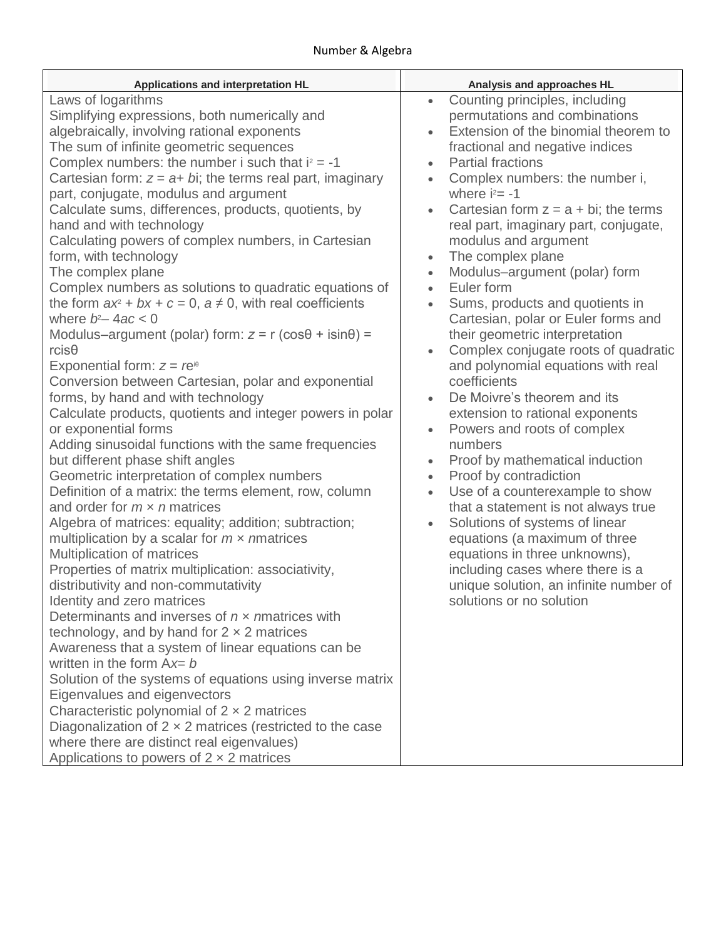| Applications and interpretation HL                                                                                                                                                                                                                                                                                                                                                                                                                                                                                                                                                                                                                                                                                                                                                                                                                                                                                                                                                                                                                                                                                                                                                                                                                                                                                                                                                                                                                                                                                                                                                                                                                                                                                                                                                                                                                                                                                                                                                                                                                          | Analysis and approaches HL                                                                                                                                                                                                                                                                                                                                                                                                                                                                                                                                                                                                                                                                                                                                                                                                                                                                                                                                                                                                                                                                                                                                                                                                                                       |
|-------------------------------------------------------------------------------------------------------------------------------------------------------------------------------------------------------------------------------------------------------------------------------------------------------------------------------------------------------------------------------------------------------------------------------------------------------------------------------------------------------------------------------------------------------------------------------------------------------------------------------------------------------------------------------------------------------------------------------------------------------------------------------------------------------------------------------------------------------------------------------------------------------------------------------------------------------------------------------------------------------------------------------------------------------------------------------------------------------------------------------------------------------------------------------------------------------------------------------------------------------------------------------------------------------------------------------------------------------------------------------------------------------------------------------------------------------------------------------------------------------------------------------------------------------------------------------------------------------------------------------------------------------------------------------------------------------------------------------------------------------------------------------------------------------------------------------------------------------------------------------------------------------------------------------------------------------------------------------------------------------------------------------------------------------------|------------------------------------------------------------------------------------------------------------------------------------------------------------------------------------------------------------------------------------------------------------------------------------------------------------------------------------------------------------------------------------------------------------------------------------------------------------------------------------------------------------------------------------------------------------------------------------------------------------------------------------------------------------------------------------------------------------------------------------------------------------------------------------------------------------------------------------------------------------------------------------------------------------------------------------------------------------------------------------------------------------------------------------------------------------------------------------------------------------------------------------------------------------------------------------------------------------------------------------------------------------------|
| Laws of logarithms<br>Simplifying expressions, both numerically and<br>algebraically, involving rational exponents<br>The sum of infinite geometric sequences<br>Complex numbers: the number i such that $i^2 = -1$<br>Cartesian form: $z = a + bi$ ; the terms real part, imaginary<br>part, conjugate, modulus and argument<br>Calculate sums, differences, products, quotients, by<br>hand and with technology<br>Calculating powers of complex numbers, in Cartesian<br>form, with technology<br>The complex plane<br>Complex numbers as solutions to quadratic equations of<br>the form $ax^2 + bx + c = 0$ , $a \ne 0$ , with real coefficients<br>where $b^2 - 4ac < 0$<br>Modulus-argument (polar) form: $z = r$ (cos $\theta$ + isin $\theta$ ) =<br>$rcis\theta$<br>Exponential form: $z = re^{i\theta}$<br>Conversion between Cartesian, polar and exponential<br>forms, by hand and with technology<br>Calculate products, quotients and integer powers in polar<br>or exponential forms<br>Adding sinusoidal functions with the same frequencies<br>but different phase shift angles<br>Geometric interpretation of complex numbers<br>Definition of a matrix: the terms element, row, column<br>and order for $m \times n$ matrices<br>Algebra of matrices: equality; addition; subtraction;<br>multiplication by a scalar for $m \times n$ matrices<br>Multiplication of matrices<br>Properties of matrix multiplication: associativity,<br>distributivity and non-commutativity<br>Identity and zero matrices<br>Determinants and inverses of $n \times n$ matrices with<br>technology, and by hand for $2 \times 2$ matrices<br>Awareness that a system of linear equations can be<br>written in the form $Ax = b$<br>Solution of the systems of equations using inverse matrix<br>Eigenvalues and eigenvectors<br>Characteristic polynomial of $2 \times 2$ matrices<br>Diagonalization of $2 \times 2$ matrices (restricted to the case<br>where there are distinct real eigenvalues)<br>Applications to powers of $2 \times 2$ matrices | Counting principles, including<br>$\bullet$<br>permutations and combinations<br>Extension of the binomial theorem to<br>fractional and negative indices<br><b>Partial fractions</b><br>$\bullet$<br>Complex numbers: the number i,<br>$\bullet$<br>where $i^2 = -1$<br>Cartesian form $z = a + bi$ ; the terms<br>$\bullet$<br>real part, imaginary part, conjugate,<br>modulus and argument<br>The complex plane<br>$\bullet$<br>Modulus-argument (polar) form<br>$\bullet$<br>Euler form<br>$\bullet$<br>Sums, products and quotients in<br>Cartesian, polar or Euler forms and<br>their geometric interpretation<br>Complex conjugate roots of quadratic<br>$\bullet$<br>and polynomial equations with real<br>coefficients<br>De Moivre's theorem and its<br>extension to rational exponents<br>Powers and roots of complex<br>$\bullet$<br>numbers<br>Proof by mathematical induction<br>$\bullet$<br>Proof by contradiction<br>$\bullet$<br>Use of a counterexample to show<br>$\bullet$<br>that a statement is not always true<br>Solutions of systems of linear<br>$\bullet$<br>equations (a maximum of three<br>equations in three unknowns),<br>including cases where there is a<br>unique solution, an infinite number of<br>solutions or no solution |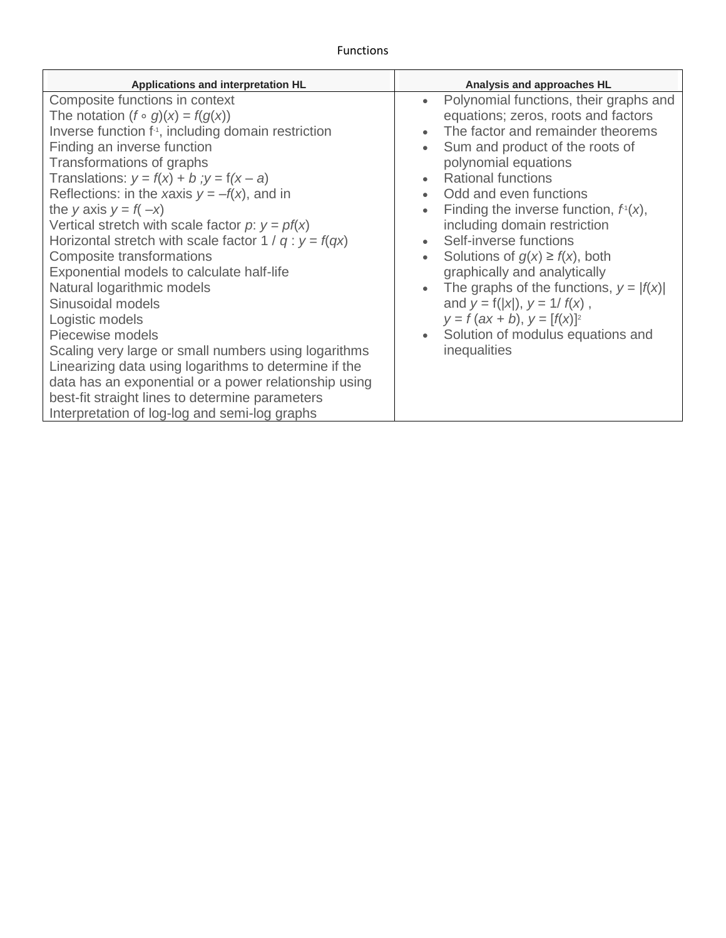$\blacksquare$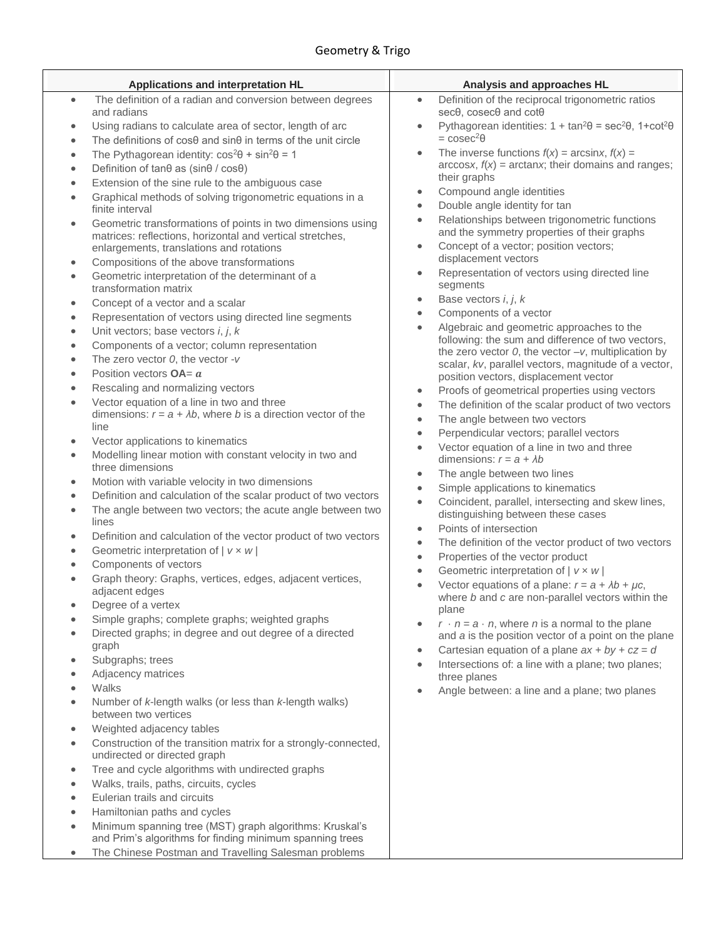| Applications and interpretation HL                                                                                            | Analysis and approaches HL                                                                                            |
|-------------------------------------------------------------------------------------------------------------------------------|-----------------------------------------------------------------------------------------------------------------------|
| The definition of a radian and conversion between degrees<br>$\bullet$                                                        | Definition of the reciprocal trigonometric ratios<br>$\bullet$                                                        |
| and radians                                                                                                                   | secθ, cosecθ and cotθ                                                                                                 |
| Using radians to calculate area of sector, length of arc<br>$\bullet$                                                         | Pythagorean identities: $1 + \tan^2\theta = \sec^2\theta$ , $1 + \cot^2\theta$<br>$\bullet$                           |
| The definitions of $cos\theta$ and $sin\theta$ in terms of the unit circle<br>$\bullet$                                       | $= \csc^2\theta$                                                                                                      |
| The Pythagorean identity: $\cos^2\theta + \sin^2\theta = 1$<br>$\bullet$                                                      | The inverse functions $f(x) = \arcsin x$ , $f(x) =$<br>$\bullet$                                                      |
| Definition of tanθ as (sinθ / cosθ)<br>۰                                                                                      | $\arccos x$ , $f(x) = \arctan x$ ; their domains and ranges;<br>their graphs                                          |
| Extension of the sine rule to the ambiguous case<br>$\bullet$                                                                 | Compound angle identities<br>$\bullet$                                                                                |
| Graphical methods of solving trigonometric equations in a<br>$\bullet$                                                        | Double angle identity for tan<br>$\bullet$                                                                            |
| finite interval                                                                                                               | Relationships between trigonometric functions<br>$\bullet$                                                            |
| Geometric transformations of points in two dimensions using<br>$\bullet$                                                      | and the symmetry properties of their graphs                                                                           |
| matrices: reflections, horizontal and vertical stretches,<br>enlargements, translations and rotations                         | Concept of a vector; position vectors;<br>$\bullet$                                                                   |
| Compositions of the above transformations<br>۰                                                                                | displacement vectors                                                                                                  |
| Geometric interpretation of the determinant of a<br>$\bullet$                                                                 | Representation of vectors using directed line<br>$\bullet$                                                            |
| transformation matrix                                                                                                         | segments                                                                                                              |
| Concept of a vector and a scalar<br>۰                                                                                         | Base vectors i, j, k<br>$\bullet$                                                                                     |
| Representation of vectors using directed line segments<br>۰                                                                   | Components of a vector<br>$\bullet$                                                                                   |
| Unit vectors; base vectors i, j, k<br>$\bullet$                                                                               | Algebraic and geometric approaches to the<br>$\bullet$                                                                |
| Components of a vector; column representation<br>$\bullet$                                                                    | following: the sum and difference of two vectors,<br>the zero vector $0$ , the vector $-v$ , multiplication by        |
| The zero vector $0$ , the vector -v<br>$\bullet$                                                                              | scalar, kv, parallel vectors, magnitude of a vector,                                                                  |
| Position vectors $OA = a$<br>$\bullet$                                                                                        | position vectors, displacement vector                                                                                 |
| Rescaling and normalizing vectors<br>$\bullet$                                                                                | Proofs of geometrical properties using vectors<br>$\bullet$                                                           |
| Vector equation of a line in two and three<br>$\bullet$                                                                       | The definition of the scalar product of two vectors<br>$\bullet$                                                      |
| dimensions: $r = a + \lambda b$ , where b is a direction vector of the                                                        | The angle between two vectors<br>$\bullet$                                                                            |
| line                                                                                                                          | Perpendicular vectors; parallel vectors<br>$\bullet$                                                                  |
| Vector applications to kinematics<br>۰                                                                                        | Vector equation of a line in two and three<br>$\bullet$                                                               |
| Modelling linear motion with constant velocity in two and<br>$\bullet$<br>three dimensions                                    | dimensions: $r = a + \lambda b$                                                                                       |
| Motion with variable velocity in two dimensions<br>$\bullet$                                                                  | The angle between two lines<br>$\bullet$                                                                              |
| Definition and calculation of the scalar product of two vectors<br>$\bullet$                                                  | Simple applications to kinematics<br>$\bullet$                                                                        |
| The angle between two vectors; the acute angle between two<br>$\bullet$                                                       | Coincident, parallel, intersecting and skew lines,<br>$\bullet$<br>distinguishing between these cases                 |
| lines                                                                                                                         | Points of intersection<br>$\bullet$                                                                                   |
| Definition and calculation of the vector product of two vectors<br>$\bullet$                                                  | The definition of the vector product of two vectors<br>$\bullet$                                                      |
| Geometric interpretation of $  v \times w  $<br>۰                                                                             | Properties of the vector product<br>$\bullet$                                                                         |
| Components of vectors<br>$\bullet$                                                                                            | Geometric interpretation of $ v \times w $<br>$\bullet$                                                               |
| Graph theory: Graphs, vertices, edges, adjacent vertices,<br>$\bullet$                                                        | Vector equations of a plane: $r = a + \lambda b + \mu c$ ,<br>$\bullet$                                               |
| adjacent edges<br>Degree of a vertex<br>$\bullet$                                                                             | where b and c are non-parallel vectors within the                                                                     |
| Simple graphs; complete graphs; weighted graphs                                                                               | plane                                                                                                                 |
| Directed graphs; in degree and out degree of a directed                                                                       | $r \cdot n = a \cdot n$ , where <i>n</i> is a normal to the plane<br>$\bullet$                                        |
| graph                                                                                                                         | and a is the position vector of a point on the plane<br>Cartesian equation of a plane $ax + by + cz = d$<br>$\bullet$ |
| Subgraphs; trees<br>$\bullet$                                                                                                 | Intersections of: a line with a plane; two planes;<br>$\bullet$                                                       |
| Adjacency matrices<br>$\bullet$                                                                                               | three planes                                                                                                          |
| Walks<br>$\bullet$                                                                                                            | Angle between: a line and a plane; two planes<br>$\bullet$                                                            |
| Number of k-length walks (or less than k-length walks)<br>$\bullet$                                                           |                                                                                                                       |
| between two vertices<br>Weighted adjacency tables                                                                             |                                                                                                                       |
| $\bullet$<br>Construction of the transition matrix for a strongly-connected,                                                  |                                                                                                                       |
| $\bullet$<br>undirected or directed graph                                                                                     |                                                                                                                       |
| Tree and cycle algorithms with undirected graphs<br>$\bullet$                                                                 |                                                                                                                       |
| Walks, trails, paths, circuits, cycles<br>$\bullet$                                                                           |                                                                                                                       |
| Eulerian trails and circuits<br>$\bullet$                                                                                     |                                                                                                                       |
| Hamiltonian paths and cycles<br>$\bullet$                                                                                     |                                                                                                                       |
| Minimum spanning tree (MST) graph algorithms: Kruskal's<br>$\bullet$                                                          |                                                                                                                       |
| and Prim's algorithms for finding minimum spanning trees<br>The Chinese Postman and Travelling Salesman problems<br>$\bullet$ |                                                                                                                       |
|                                                                                                                               |                                                                                                                       |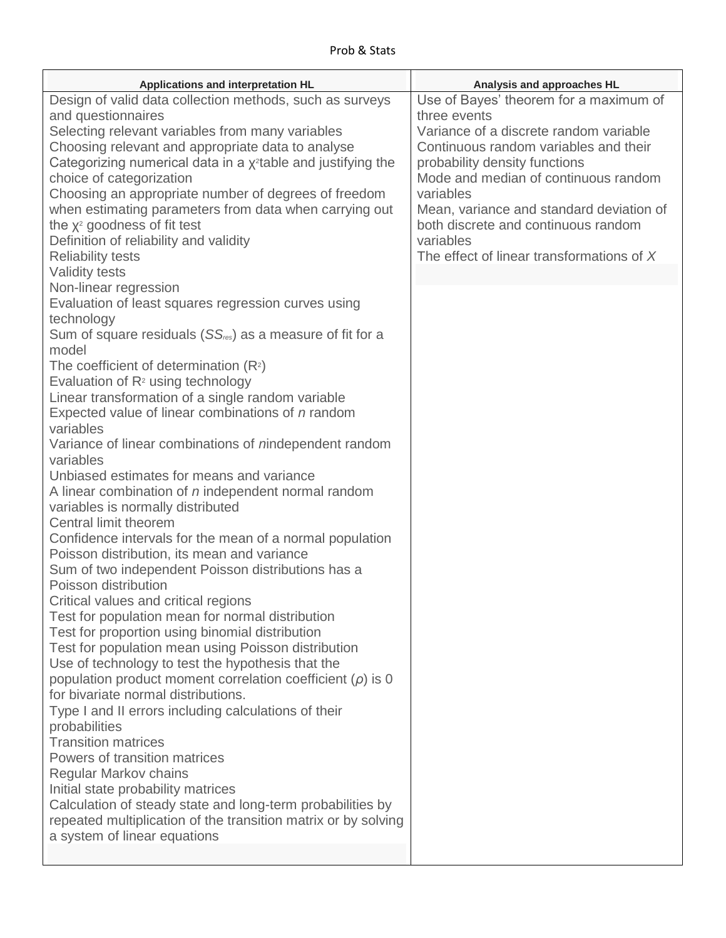| Applications and interpretation HL                                               | Analysis and approaches HL                |
|----------------------------------------------------------------------------------|-------------------------------------------|
| Design of valid data collection methods, such as surveys                         | Use of Bayes' theorem for a maximum of    |
| and questionnaires                                                               | three events                              |
| Selecting relevant variables from many variables                                 | Variance of a discrete random variable    |
| Choosing relevant and appropriate data to analyse                                | Continuous random variables and their     |
| Categorizing numerical data in a $\chi^2$ table and justifying the               | probability density functions             |
| choice of categorization                                                         | Mode and median of continuous random      |
| Choosing an appropriate number of degrees of freedom                             | variables                                 |
| when estimating parameters from data when carrying out                           | Mean, variance and standard deviation of  |
| the x <sup>2</sup> goodness of fit test                                          | both discrete and continuous random       |
| Definition of reliability and validity                                           | variables                                 |
| <b>Reliability tests</b>                                                         | The effect of linear transformations of X |
| <b>Validity tests</b>                                                            |                                           |
| Non-linear regression                                                            |                                           |
|                                                                                  |                                           |
| Evaluation of least squares regression curves using<br>technology                |                                           |
| Sum of square residuals $(SS_{\text{res}})$ as a measure of fit for a            |                                           |
| model                                                                            |                                           |
|                                                                                  |                                           |
| The coefficient of determination $(R^2)$<br>Evaluation of $R^2$ using technology |                                           |
| Linear transformation of a single random variable                                |                                           |
| Expected value of linear combinations of n random                                |                                           |
| variables                                                                        |                                           |
| Variance of linear combinations of nindependent random                           |                                           |
| variables                                                                        |                                           |
| Unbiased estimates for means and variance                                        |                                           |
| A linear combination of n independent normal random                              |                                           |
| variables is normally distributed                                                |                                           |
| Central limit theorem                                                            |                                           |
| Confidence intervals for the mean of a normal population                         |                                           |
| Poisson distribution, its mean and variance                                      |                                           |
| Sum of two independent Poisson distributions has a                               |                                           |
| Poisson distribution                                                             |                                           |
| Critical values and critical regions                                             |                                           |
| Test for population mean for normal distribution                                 |                                           |
| Test for proportion using binomial distribution                                  |                                           |
| Test for population mean using Poisson distribution                              |                                           |
| Use of technology to test the hypothesis that the                                |                                           |
| population product moment correlation coefficient $(\rho)$ is 0                  |                                           |
| for bivariate normal distributions.                                              |                                           |
| Type I and II errors including calculations of their                             |                                           |
| probabilities                                                                    |                                           |
| <b>Transition matrices</b>                                                       |                                           |
| Powers of transition matrices                                                    |                                           |
| <b>Regular Markov chains</b>                                                     |                                           |
| Initial state probability matrices                                               |                                           |
| Calculation of steady state and long-term probabilities by                       |                                           |
| repeated multiplication of the transition matrix or by solving                   |                                           |
| a system of linear equations                                                     |                                           |
|                                                                                  |                                           |
|                                                                                  |                                           |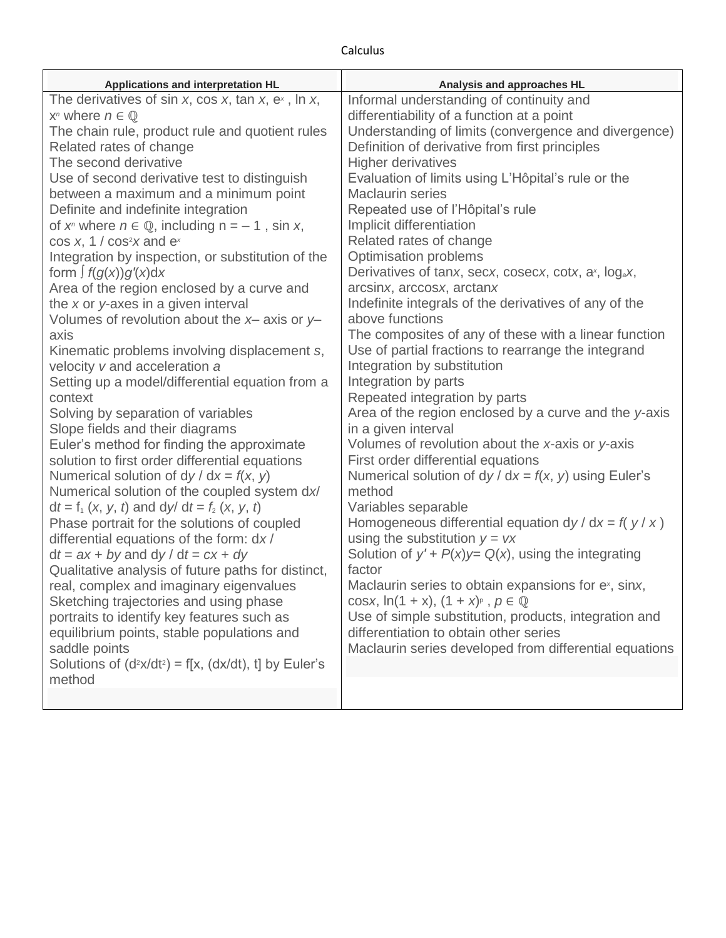## Calculus

| Applications and interpretation HL                              | Analysis and approaches HL                                       |
|-----------------------------------------------------------------|------------------------------------------------------------------|
| The derivatives of sin x, cos x, tan x, $ex$ , ln x,            | Informal understanding of continuity and                         |
| $X^n$ where $n \in \mathbb{Q}$                                  | differentiability of a function at a point                       |
| The chain rule, product rule and quotient rules                 | Understanding of limits (convergence and divergence)             |
| Related rates of change                                         | Definition of derivative from first principles                   |
| The second derivative                                           | <b>Higher derivatives</b>                                        |
| Use of second derivative test to distinguish                    | Evaluation of limits using L'Hôpital's rule or the               |
| between a maximum and a minimum point                           | <b>Maclaurin series</b>                                          |
| Definite and indefinite integration                             | Repeated use of l'Hôpital's rule                                 |
| of $x^n$ where $n \in \mathbb{Q}$ , including $n = -1$ , sin x, | Implicit differentiation                                         |
| $cos x$ , 1 / $cos2x$ and $ex$                                  | Related rates of change                                          |
| Integration by inspection, or substitution of the               | <b>Optimisation problems</b>                                     |
| form $\int f(g(x))g'(x)dx$                                      | Derivatives of tanx, secx, cosecx, cotx, ax, log <sub>a</sub> x, |
| Area of the region enclosed by a curve and                      | arcsinx, arccosx, arctanx                                        |
| the $x$ or $y$ -axes in a given interval                        | Indefinite integrals of the derivatives of any of the            |
| Volumes of revolution about the $x$ - axis or $y$ -             | above functions                                                  |
| axis                                                            | The composites of any of these with a linear function            |
| Kinematic problems involving displacement s,                    | Use of partial fractions to rearrange the integrand              |
| velocity v and acceleration a                                   | Integration by substitution                                      |
| Setting up a model/differential equation from a                 | Integration by parts                                             |
| context                                                         | Repeated integration by parts                                    |
| Solving by separation of variables                              | Area of the region enclosed by a curve and the y-axis            |
| Slope fields and their diagrams                                 | in a given interval                                              |
| Euler's method for finding the approximate                      | Volumes of revolution about the x-axis or y-axis                 |
| solution to first order differential equations                  | First order differential equations                               |
| Numerical solution of $dy/dx = f(x, y)$                         | Numerical solution of $dy/dx = f(x, y)$ using Euler's            |
| Numerical solution of the coupled system dx/                    | method                                                           |
| $dt = f_1(x, y, t)$ and dy/ dt = $f_2(x, y, t)$                 | Variables separable                                              |
| Phase portrait for the solutions of coupled                     | Homogeneous differential equation $dy/dx = f(y/x)$               |
| differential equations of the form: dx/                         | using the substitution $y = vx$                                  |
| $dt = ax + by$ and $dy/dt = cx + dy$                            | Solution of $y' + P(x)y = Q(x)$ , using the integrating          |
| Qualitative analysis of future paths for distinct,              | factor                                                           |
| real, complex and imaginary eigenvalues                         | Maclaurin series to obtain expansions for ex, sinx,              |
| Sketching trajectories and using phase                          | cosx, $\ln(1 + x)$ , $(1 + x)^p$ , $p \in \mathbb{Q}$            |
| portraits to identify key features such as                      | Use of simple substitution, products, integration and            |
| equilibrium points, stable populations and                      | differentiation to obtain other series                           |
| saddle points                                                   | Maclaurin series developed from differential equations           |
| Solutions of $(d^2x/dt^2) = f[x, (dx/dt), t]$ by Euler's        |                                                                  |
| method                                                          |                                                                  |
|                                                                 |                                                                  |
|                                                                 |                                                                  |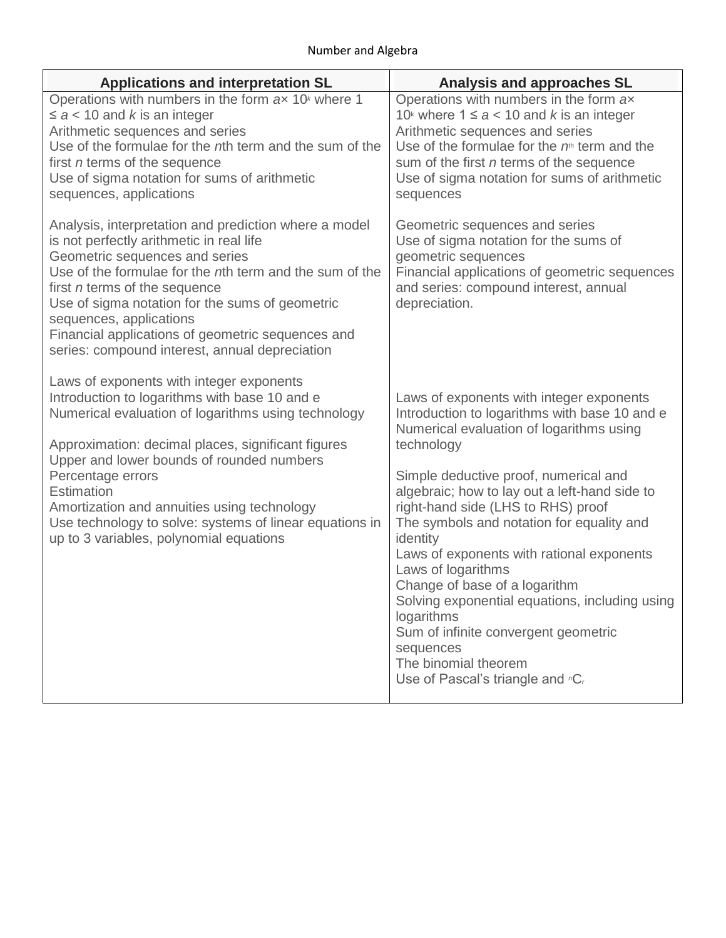| <b>Applications and interpretation SL</b>                                                                                                                                                                                                                                                                                                                                                                                                   | <b>Analysis and approaches SL</b>                                                                                                                                                                                                                                                                                                                                                                                                                                                                                                                                                                                                 |  |
|---------------------------------------------------------------------------------------------------------------------------------------------------------------------------------------------------------------------------------------------------------------------------------------------------------------------------------------------------------------------------------------------------------------------------------------------|-----------------------------------------------------------------------------------------------------------------------------------------------------------------------------------------------------------------------------------------------------------------------------------------------------------------------------------------------------------------------------------------------------------------------------------------------------------------------------------------------------------------------------------------------------------------------------------------------------------------------------------|--|
| Operations with numbers in the form ax 10 <sup>k</sup> where 1<br>$\le a < 10$ and k is an integer<br>Arithmetic sequences and series<br>Use of the formulae for the nth term and the sum of the<br>first <i>n</i> terms of the sequence<br>Use of sigma notation for sums of arithmetic<br>sequences, applications                                                                                                                         | Operations with numbers in the form ax<br>10 <sup>k</sup> where $1 \le a < 10$ and k is an integer<br>Arithmetic sequences and series<br>Use of the formulae for the $nth$ term and the<br>sum of the first <i>n</i> terms of the sequence<br>Use of sigma notation for sums of arithmetic<br>sequences                                                                                                                                                                                                                                                                                                                           |  |
| Analysis, interpretation and prediction where a model<br>is not perfectly arithmetic in real life<br>Geometric sequences and series<br>Use of the formulae for the nth term and the sum of the<br>first <i>n</i> terms of the sequence<br>Use of sigma notation for the sums of geometric<br>sequences, applications<br>Financial applications of geometric sequences and<br>series: compound interest, annual depreciation                 | Geometric sequences and series<br>Use of sigma notation for the sums of<br>geometric sequences<br>Financial applications of geometric sequences<br>and series: compound interest, annual<br>depreciation.                                                                                                                                                                                                                                                                                                                                                                                                                         |  |
| Laws of exponents with integer exponents<br>Introduction to logarithms with base 10 and e<br>Numerical evaluation of logarithms using technology<br>Approximation: decimal places, significant figures<br>Upper and lower bounds of rounded numbers<br>Percentage errors<br>Estimation<br>Amortization and annuities using technology<br>Use technology to solve: systems of linear equations in<br>up to 3 variables, polynomial equations | Laws of exponents with integer exponents<br>Introduction to logarithms with base 10 and e<br>Numerical evaluation of logarithms using<br>technology<br>Simple deductive proof, numerical and<br>algebraic; how to lay out a left-hand side to<br>right-hand side (LHS to RHS) proof<br>The symbols and notation for equality and<br>identity<br>Laws of exponents with rational exponents<br>Laws of logarithms<br>Change of base of a logarithm<br>Solving exponential equations, including using<br>logarithms<br>Sum of infinite convergent geometric<br>sequences<br>The binomial theorem<br>Use of Pascal's triangle and "C, |  |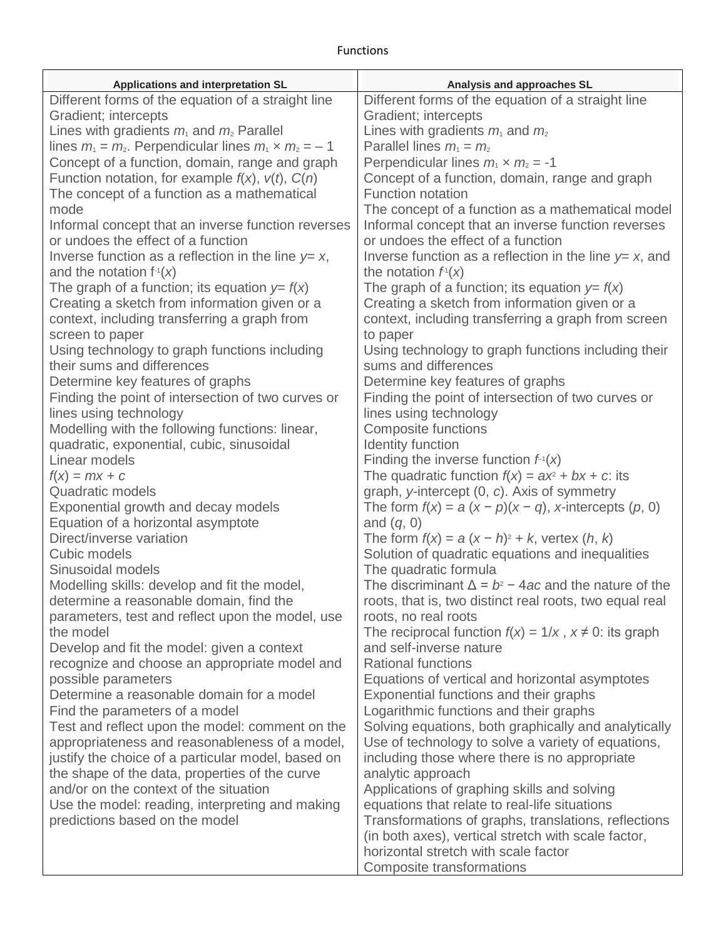## Functions

| Applications and interpretation SL                            | Analysis and approaches SL                                                                             |
|---------------------------------------------------------------|--------------------------------------------------------------------------------------------------------|
| Different forms of the equation of a straight line            | Different forms of the equation of a straight line                                                     |
| Gradient; intercepts                                          | Gradient; intercepts                                                                                   |
| Lines with gradients $m_1$ and $m_2$ Parallel                 | Lines with gradients $m_1$ and $m_2$                                                                   |
| lines $m_1 = m_2$ . Perpendicular lines $m_1 \times m_2 = -1$ | Parallel lines $m_1 = m_2$                                                                             |
| Concept of a function, domain, range and graph                | Perpendicular lines $m_1 \times m_2 = -1$                                                              |
| Function notation, for example $f(x)$ , $v(t)$ , $C(n)$       | Concept of a function, domain, range and graph                                                         |
| The concept of a function as a mathematical                   | <b>Function notation</b>                                                                               |
| mode                                                          | The concept of a function as a mathematical model                                                      |
| Informal concept that an inverse function reverses            | Informal concept that an inverse function reverses                                                     |
| or undoes the effect of a function                            | or undoes the effect of a function                                                                     |
| Inverse function as a reflection in the line $y=x$ ,          | Inverse function as a reflection in the line $y=x$ , and                                               |
| and the notation $f(x)$                                       | the notation $fT(x)$                                                                                   |
| The graph of a function; its equation $y = f(x)$              | The graph of a function; its equation $y = f(x)$                                                       |
| Creating a sketch from information given or a                 | Creating a sketch from information given or a                                                          |
| context, including transferring a graph from                  | context, including transferring a graph from screen                                                    |
| screen to paper                                               | to paper                                                                                               |
| Using technology to graph functions including                 | Using technology to graph functions including their                                                    |
| their sums and differences                                    | sums and differences                                                                                   |
| Determine key features of graphs                              | Determine key features of graphs                                                                       |
| Finding the point of intersection of two curves or            | Finding the point of intersection of two curves or                                                     |
| lines using technology                                        | lines using technology                                                                                 |
| Modelling with the following functions: linear,               | <b>Composite functions</b>                                                                             |
| quadratic, exponential, cubic, sinusoidal                     | Identity function                                                                                      |
| Linear models                                                 | Finding the inverse function $f(x)$                                                                    |
| $f(x) = mx + c$<br><b>Quadratic models</b>                    | The quadratic function $f(x) = ax^2 + bx + c$ : its                                                    |
| Exponential growth and decay models                           | graph, y-intercept (0, c). Axis of symmetry<br>The form $f(x) = a(x - p)(x - q)$ , x-intercepts (p, 0) |
| Equation of a horizontal asymptote                            | and $(q, 0)$                                                                                           |
| Direct/inverse variation                                      | The form $f(x) = a(x - h)^2 + k$ , vertex $(h, k)$                                                     |
| Cubic models                                                  | Solution of quadratic equations and inequalities                                                       |
| Sinusoidal models                                             | The quadratic formula                                                                                  |
| Modelling skills: develop and fit the model,                  | The discriminant $\Delta = b^2 - 4ac$ and the nature of the                                            |
| determine a reasonable domain, find the                       | roots, that is, two distinct real roots, two equal real                                                |
| parameters, test and reflect upon the model, use              | roots, no real roots                                                                                   |
| the model                                                     | The reciprocal function $f(x) = 1/x$ , $x \ne 0$ : its graph                                           |
| Develop and fit the model: given a context                    | and self-inverse nature                                                                                |
| recognize and choose an appropriate model and                 | <b>Rational functions</b>                                                                              |
| possible parameters                                           | Equations of vertical and horizontal asymptotes                                                        |
| Determine a reasonable domain for a model                     | Exponential functions and their graphs                                                                 |
| Find the parameters of a model                                | Logarithmic functions and their graphs                                                                 |
| Test and reflect upon the model: comment on the               | Solving equations, both graphically and analytically                                                   |
| appropriateness and reasonableness of a model,                | Use of technology to solve a variety of equations,                                                     |
| justify the choice of a particular model, based on            | including those where there is no appropriate                                                          |
| the shape of the data, properties of the curve                | analytic approach                                                                                      |
| and/or on the context of the situation                        | Applications of graphing skills and solving                                                            |
| Use the model: reading, interpreting and making               | equations that relate to real-life situations                                                          |
| predictions based on the model                                | Transformations of graphs, translations, reflections                                                   |
|                                                               | (in both axes), vertical stretch with scale factor,                                                    |
|                                                               | horizontal stretch with scale factor                                                                   |
|                                                               | Composite transformations                                                                              |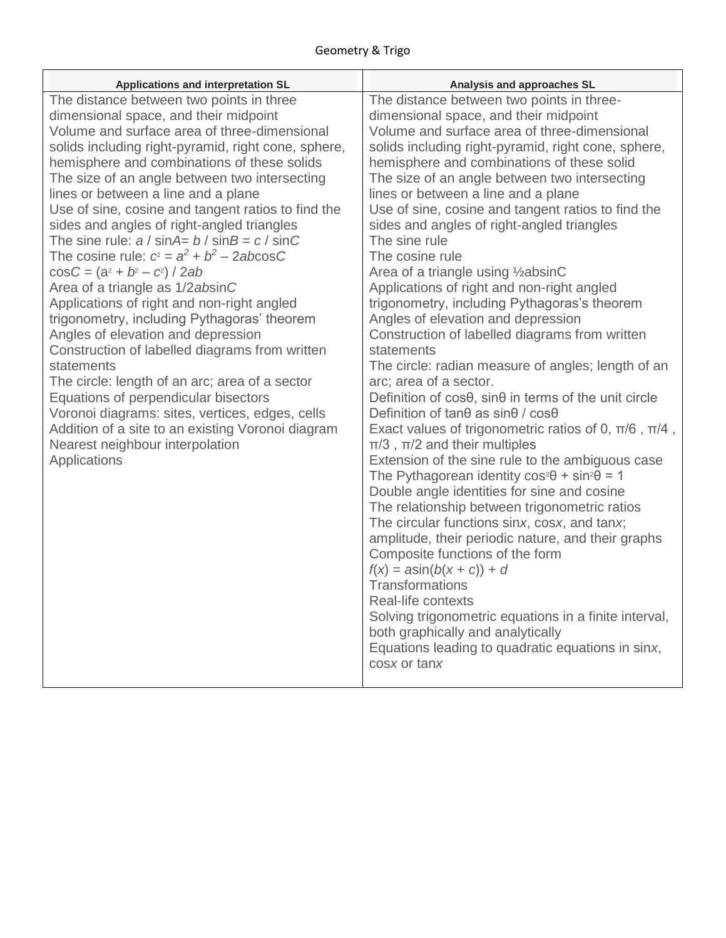| Applications and interpretation SL                                                           | Analysis and approaches SL                                                                    |
|----------------------------------------------------------------------------------------------|-----------------------------------------------------------------------------------------------|
| The distance between two points in three                                                     | The distance between two points in three-                                                     |
| dimensional space, and their midpoint                                                        | dimensional space, and their midpoint                                                         |
| Volume and surface area of three-dimensional                                                 | Volume and surface area of three-dimensional                                                  |
| solids including right-pyramid, right cone, sphere,                                          | solids including right-pyramid, right cone, sphere,                                           |
| hemisphere and combinations of these solids<br>The size of an angle between two intersecting | hemisphere and combinations of these solid<br>The size of an angle between two intersecting   |
| lines or between a line and a plane                                                          | lines or between a line and a plane                                                           |
| Use of sine, cosine and tangent ratios to find the                                           | Use of sine, cosine and tangent ratios to find the                                            |
| sides and angles of right-angled triangles                                                   | sides and angles of right-angled triangles                                                    |
| The sine rule: $a / \sin A = b / \sin B = c / \sin C$                                        | The sine rule                                                                                 |
| The cosine rule: $c^2 = a^2 + b^2 - 2abc \cos C$                                             | The cosine rule                                                                               |
| $\cos C = (a^2 + b^2 - c^2)/2ab$                                                             | Area of a triangle using 1/2 absinC                                                           |
| Area of a triangle as 1/2absinC                                                              | Applications of right and non-right angled                                                    |
| Applications of right and non-right angled                                                   | trigonometry, including Pythagoras's theorem                                                  |
| trigonometry, including Pythagoras' theorem                                                  | Angles of elevation and depression                                                            |
| Angles of elevation and depression                                                           | Construction of labelled diagrams from written<br>statements                                  |
| Construction of labelled diagrams from written<br>statements                                 | The circle: radian measure of angles; length of an                                            |
| The circle: length of an arc; area of a sector                                               | arc; area of a sector.                                                                        |
| Equations of perpendicular bisectors                                                         | Definition of cosθ, sinθ in terms of the unit circle                                          |
| Voronoi diagrams: sites, vertices, edges, cells                                              | Definition of tan $\theta$ as sin $\theta$ / cos $\theta$                                     |
| Addition of a site to an existing Voronoi diagram                                            | Exact values of trigonometric ratios of 0, $\pi/6$ , $\pi/4$ ,                                |
| Nearest neighbour interpolation                                                              | $\pi/3$ , $\pi/2$ and their multiples                                                         |
| Applications                                                                                 | Extension of the sine rule to the ambiguous case                                              |
|                                                                                              | The Pythagorean identity $cos^2\theta$ + $sin^2\theta$ = 1                                    |
|                                                                                              | Double angle identities for sine and cosine                                                   |
|                                                                                              | The relationship between trigonometric ratios<br>The circular functions sinx, cosx, and tanx; |
|                                                                                              | amplitude, their periodic nature, and their graphs                                            |
|                                                                                              | Composite functions of the form                                                               |
|                                                                                              | $f(x) = a\sin(b(x + c)) + d$                                                                  |
|                                                                                              | Transformations                                                                               |
|                                                                                              | Real-life contexts                                                                            |
|                                                                                              | Solving trigonometric equations in a finite interval,                                         |
|                                                                                              | both graphically and analytically                                                             |
|                                                                                              | Equations leading to quadratic equations in sinx,                                             |
|                                                                                              | cosx or tanx                                                                                  |
|                                                                                              |                                                                                               |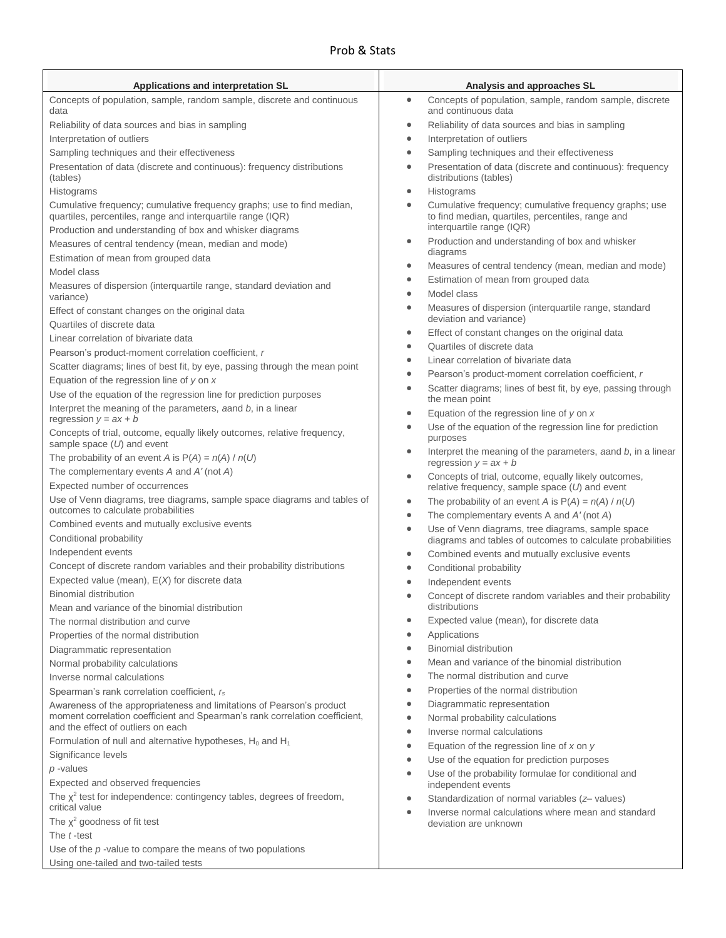## Prob & Stats

| Applications and interpretation SL                                                                                                    | Analysis and approaches SL                                                                                                   |
|---------------------------------------------------------------------------------------------------------------------------------------|------------------------------------------------------------------------------------------------------------------------------|
| Concepts of population, sample, random sample, discrete and continuous                                                                | Concepts of population, sample, random sample, discrete<br>$\bullet$                                                         |
| data                                                                                                                                  | and continuous data                                                                                                          |
| Reliability of data sources and bias in sampling                                                                                      | Reliability of data sources and bias in sampling<br>$\bullet$                                                                |
| Interpretation of outliers                                                                                                            | Interpretation of outliers<br>$\bullet$                                                                                      |
| Sampling techniques and their effectiveness                                                                                           | Sampling techniques and their effectiveness<br>$\bullet$                                                                     |
| Presentation of data (discrete and continuous): frequency distributions<br>(tables)                                                   | Presentation of data (discrete and continuous): frequency<br>$\bullet$<br>distributions (tables)                             |
| Histograms                                                                                                                            | Histograms<br>$\bullet$                                                                                                      |
| Cumulative frequency; cumulative frequency graphs; use to find median,<br>quartiles, percentiles, range and interquartile range (IQR) | Cumulative frequency; cumulative frequency graphs; use<br>$\bullet$<br>to find median, quartiles, percentiles, range and     |
| Production and understanding of box and whisker diagrams                                                                              | interquartile range (IQR)                                                                                                    |
| Measures of central tendency (mean, median and mode)                                                                                  | Production and understanding of box and whisker<br>$\bullet$<br>diagrams                                                     |
| Estimation of mean from grouped data                                                                                                  | Measures of central tendency (mean, median and mode)<br>٠                                                                    |
| Model class                                                                                                                           | Estimation of mean from grouped data<br>$\bullet$                                                                            |
| Measures of dispersion (interquartile range, standard deviation and<br>variance)                                                      | Model class<br>$\bullet$                                                                                                     |
| Effect of constant changes on the original data<br>Quartiles of discrete data                                                         | Measures of dispersion (interquartile range, standard<br>$\bullet$<br>deviation and variance)                                |
| Linear correlation of bivariate data                                                                                                  | Effect of constant changes on the original data<br>$\bullet$                                                                 |
| Pearson's product-moment correlation coefficient, r                                                                                   | Quartiles of discrete data<br>$\bullet$                                                                                      |
| Scatter diagrams; lines of best fit, by eye, passing through the mean point                                                           | Linear correlation of bivariate data<br>$\bullet$                                                                            |
| Equation of the regression line of $y$ on $x$                                                                                         | Pearson's product-moment correlation coefficient, r<br>$\bullet$                                                             |
| Use of the equation of the regression line for prediction purposes                                                                    | Scatter diagrams; lines of best fit, by eye, passing through<br>$\bullet$<br>the mean point                                  |
| Interpret the meaning of the parameters, aand b, in a linear<br>regression $y = ax + b$                                               | Equation of the regression line of $y$ on $x$<br>$\bullet$                                                                   |
| Concepts of trial, outcome, equally likely outcomes, relative frequency,                                                              | Use of the equation of the regression line for prediction<br>$\bullet$<br>purposes                                           |
| sample space $(U)$ and event<br>The probability of an event A is $P(A) = n(A) / n(U)$                                                 | Interpret the meaning of the parameters, aand b, in a linear<br>$\bullet$<br>regression $y = ax + b$                         |
| The complementary events A and A' (not A)                                                                                             | Concepts of trial, outcome, equally likely outcomes,<br>$\bullet$                                                            |
| Expected number of occurrences                                                                                                        | relative frequency, sample space $(U)$ and event                                                                             |
| Use of Venn diagrams, tree diagrams, sample space diagrams and tables of<br>outcomes to calculate probabilities                       | The probability of an event A is $P(A) = n(A) / n(U)$<br>$\bullet$                                                           |
| Combined events and mutually exclusive events                                                                                         | The complementary events A and $A'$ (not A)<br>$\bullet$                                                                     |
| Conditional probability                                                                                                               | Use of Venn diagrams, tree diagrams, sample space<br>$\bullet$<br>diagrams and tables of outcomes to calculate probabilities |
| Independent events                                                                                                                    | Combined events and mutually exclusive events<br>$\bullet$                                                                   |
| Concept of discrete random variables and their probability distributions                                                              | Conditional probability<br>$\bullet$                                                                                         |
| Expected value (mean), $E(X)$ for discrete data                                                                                       | Independent events<br>$\bullet$                                                                                              |
| <b>Binomial distribution</b>                                                                                                          | Concept of discrete random variables and their probability<br>$\bullet$                                                      |
| Mean and variance of the binomial distribution                                                                                        | distributions                                                                                                                |
| The normal distribution and curve                                                                                                     | Expected value (mean), for discrete data<br>$\bullet$                                                                        |
| Properties of the normal distribution                                                                                                 | Applications<br>٠                                                                                                            |
| Diagrammatic representation                                                                                                           | <b>Binomial distribution</b><br>$\bullet$                                                                                    |
| Normal probability calculations                                                                                                       | Mean and variance of the binomial distribution<br>$\bullet$                                                                  |
| Inverse normal calculations                                                                                                           | The normal distribution and curve<br>$\bullet$                                                                               |
| Spearman's rank correlation coefficient, rs                                                                                           | Properties of the normal distribution<br>$\bullet$                                                                           |
| Awareness of the appropriateness and limitations of Pearson's product                                                                 | Diagrammatic representation<br>٠                                                                                             |
| moment correlation coefficient and Spearman's rank correlation coefficient,<br>and the effect of outliers on each                     | Normal probability calculations<br>$\bullet$                                                                                 |
| Formulation of null and alternative hypotheses, $H_0$ and $H_1$                                                                       | Inverse normal calculations<br>$\bullet$                                                                                     |
| Significance levels                                                                                                                   | Equation of the regression line of $x$ on $y$<br>$\bullet$                                                                   |
| $p$ -values                                                                                                                           | Use of the equation for prediction purposes<br>$\bullet$                                                                     |
| Expected and observed frequencies                                                                                                     | Use of the probability formulae for conditional and<br>$\bullet$<br>independent events                                       |
| The $\chi^2$ test for independence: contingency tables, degrees of freedom,<br>critical value                                         | Standardization of normal variables (z-values)<br>$\bullet$                                                                  |
| The $\chi^2$ goodness of fit test                                                                                                     | Inverse normal calculations where mean and standard<br>$\bullet$<br>deviation are unknown                                    |
| The t-test                                                                                                                            |                                                                                                                              |
| Use of the $p$ -value to compare the means of two populations                                                                         |                                                                                                                              |
| Using one-tailed and two-tailed tests                                                                                                 |                                                                                                                              |
|                                                                                                                                       |                                                                                                                              |